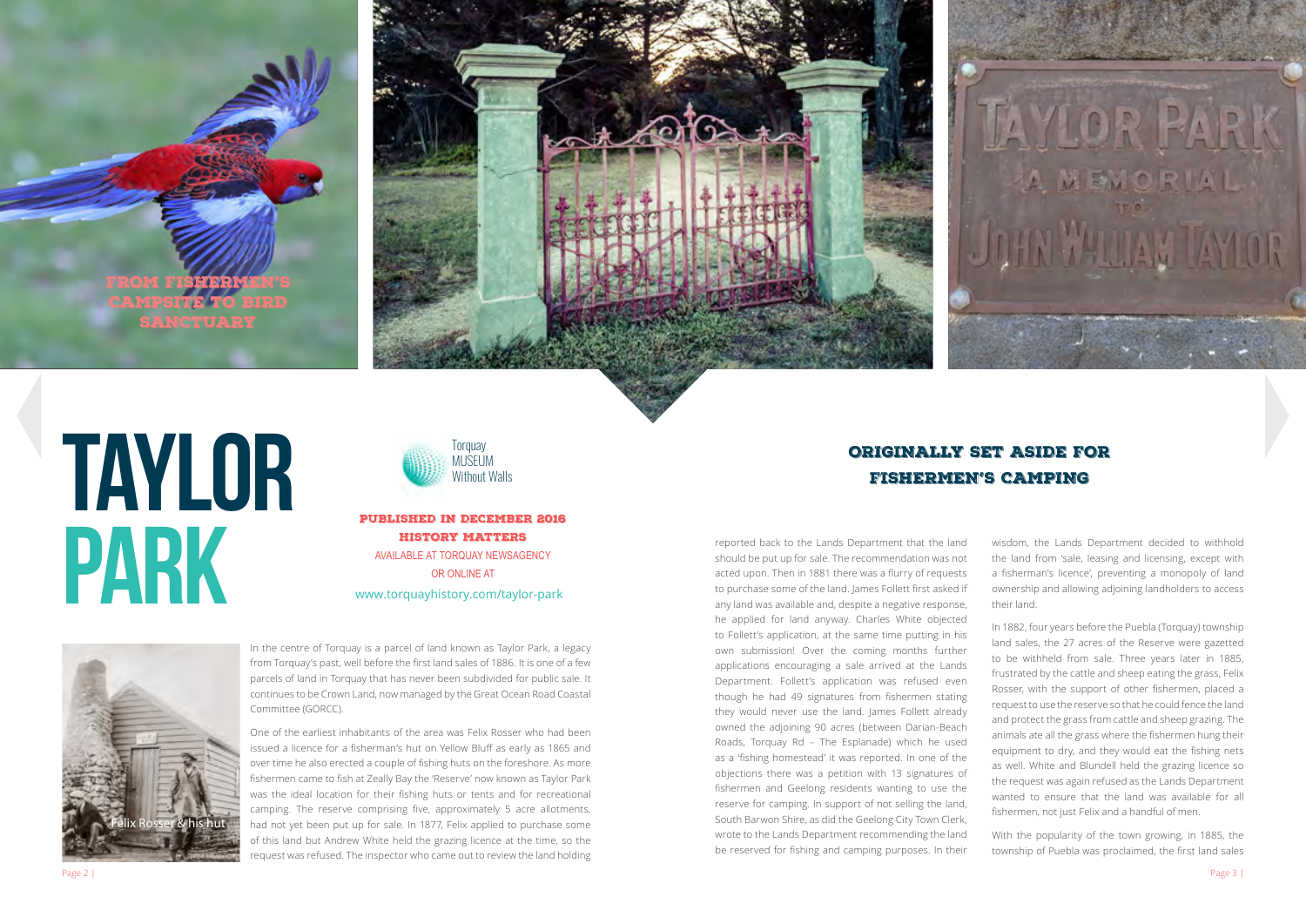TAYLOR



PARK

In the centre of Torquay is a parcel of land known as Taylor Park, a legacy from Torquay's past, well before the first land sales of 1886. It is one of a few parcels of land in Torquay that has never been subdivided for public sale. It continues to be Crown Land, now managed by the Great Ocean Road Coastal Committee (GORCC).

One of the earliest inhabitants of the area was Felix Rosser who had been issued a licence for a fisherman's hut on Yellow Bluff as early as 1865 and over time he also erected a couple of fishing huts on the foreshore. As more fishermen came to fish at Zeally Bay the 'Reserve' now known as Taylor Park was the ideal location for their fishing huts or tents and for recreational camping. The reserve comprising five, approximately 5 acre allotments, had not yet been put up for sale. In 1877, Felix applied to purchase some of this land but Andrew White held the grazing licence at the time, so the request was refused. The inspector who came out to review the land holding

FROM FISHERMEN'S CAMPSITE TO BIRD SANCTUARY



reported back to the Lands Department that the land should be put up for sale. The recommendation was not acted upon. Then in 1881 there was a flurry of requests to purchase some of the land. James Follett first asked if any land was available and, despite a negative response, he applied for land anyway. Charles White objected to Follett's application, at the same time putting in his own submission! Over the coming months further applications encouraging a sale arrived at the Lands Department. Follett's application was refused even though he had 49 signatures from fishermen stating they would never use the land. James Follett already owned the adjoining 90 acres (between Darian-Beach Roads, Torquay Rd – The Esplanade) which he used as a 'fishing homestead' it was reported. In one of the objections there was a petition with 13 signatures of fishermen and Geelong residents wanting to use the reserve for camping. In support of not selling the land, South Barwon Shire, as did the Geelong City Town Clerk, wrote to the Lands Department recommending the land be reserved for fishing and camping purposes. In their



wisdom, the Lands Department decided to withhold the land from 'sale, leasing and licensing, except with a fisherman's licence', preventing a monopoly of land ownership and allowing adjoining landholders to access their land.

In 1882, four years before the Puebla (Torquay) township land sales, the 27 acres of the Reserve were gazetted to be withheld from sale. Three years later in 1885, frustrated by the cattle and sheep eating the grass, Felix Rosser, with the support of other fishermen, placed a request to use the reserve so that he could fence the land and protect the grass from cattle and sheep grazing. The animals ate all the grass where the fishermen hung their equipment to dry, and they would eat the fishing nets as well. White and Blundell held the grazing licence so the request was again refused as the Lands Department wanted to ensure that the land was available for all fishermen, not just Felix and a handful of men.

With the popularity of the town growing, in 1885, the township of Puebla was proclaimed, the first land sales

### ORIGINALLY SET ASIDE FOR FISHERMEN'S CAMPING

PUBLISHED IN DECEMBER 2016 HISTORY MATTERS AVAILABLE AT TORQUAY NEWSAGENCY

OR ONLINE AT [www.torquayhistory.com/taylor-park](https://torquayhistory.com/taylor-park/)

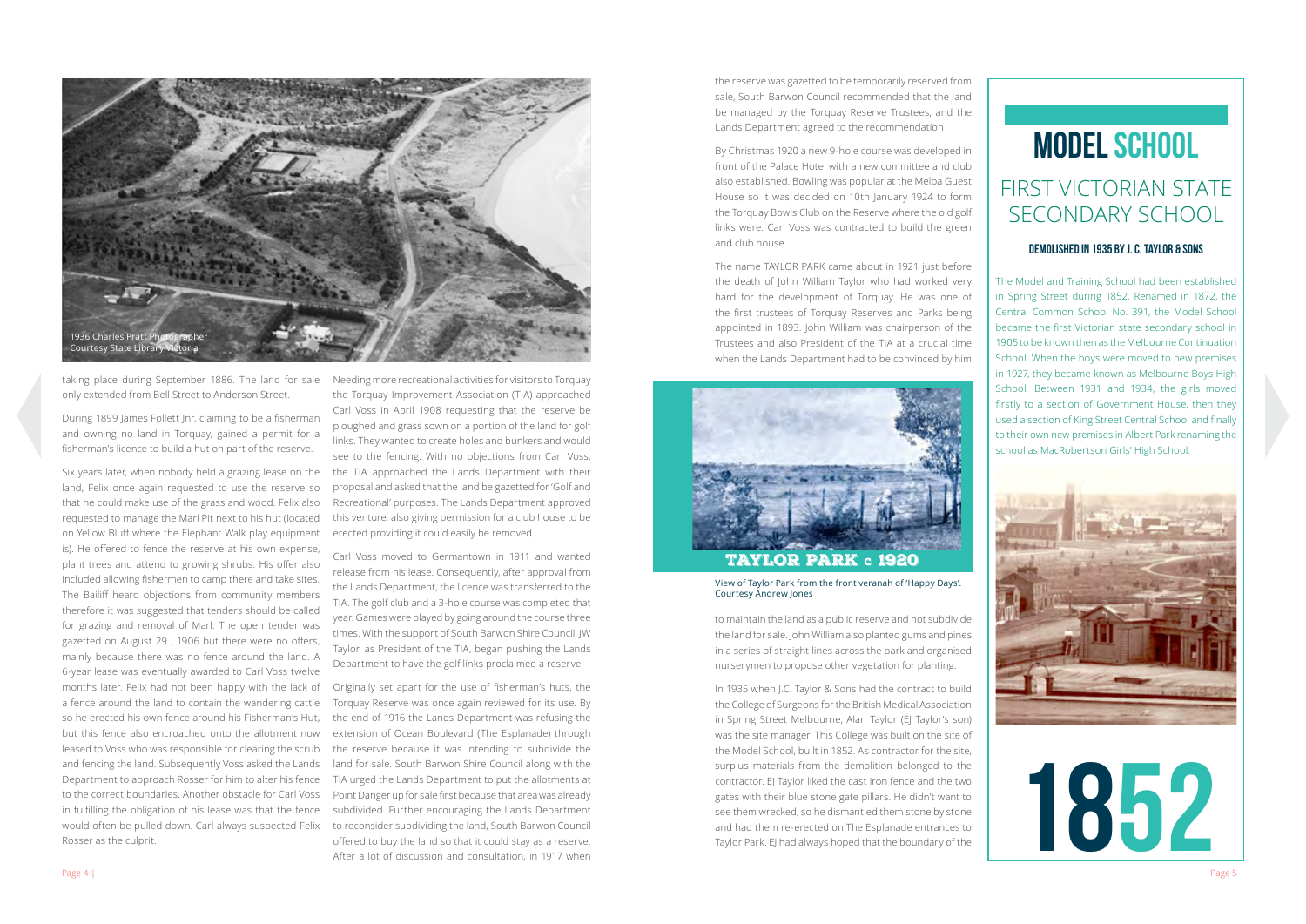taking place during September 1886. The land for sale only extended from Bell Street to Anderson Street.

During 1899 James Follett Jnr, claiming to be a fisherman and owning no land in Torquay, gained a permit for a fisherman's licence to build a hut on part of the reserve.

Six years later, when nobody held a grazing lease on the land, Felix once again requested to use the reserve so that he could make use of the grass and wood. Felix also requested to manage the Marl Pit next to his hut (located on Yellow Bluff where the Elephant Walk play equipment is). He offered to fence the reserve at his own expense, plant trees and attend to growing shrubs. His offer also included allowing fishermen to camp there and take sites. The Bailiff heard objections from community members therefore it was suggested that tenders should be called for grazing and removal of Marl. The open tender was gazetted on August 29 , 1906 but there were no offers, mainly because there was no fence around the land. A 6-year lease was eventually awarded to Carl Voss twelve months later. Felix had not been happy with the lack of a fence around the land to contain the wandering cattle so he erected his own fence around his Fisherman's Hut, but this fence also encroached onto the allotment now leased to Voss who was responsible for clearing the scrub and fencing the land. Subsequently Voss asked the Lands Department to approach Rosser for him to alter his fence to the correct boundaries. Another obstacle for Carl Voss in fulfilling the obligation of his lease was that the fence would often be pulled down. Carl always suspected Felix Rosser as the culprit.

Needing more recreational activities for visitors to Torquay the Torquay Improvement Association (TIA) approached Carl Voss in April 1908 requesting that the reserve be ploughed and grass sown on a portion of the land for golf links. They wanted to create holes and bunkers and would see to the fencing. With no objections from Carl Voss, the TIA approached the Lands Department with their proposal and asked that the land be gazetted for 'Golf and Recreational' purposes. The Lands Department approved this venture, also giving permission for a club house to be erected providing it could easily be removed.

Carl Voss moved to Germantown in 1911 and wanted release from his lease. Consequently, after approval from the Lands Department, the licence was transferred to the TIA. The golf club and a 3-hole course was completed that year. Games were played by going around the course three times. With the support of South Barwon Shire Council, JW Taylor, as President of the TIA, began pushing the Lands Department to have the golf links proclaimed a reserve.

Originally set apart for the use of fisherman's huts, the Torquay Reserve was once again reviewed for its use. By the end of 1916 the Lands Department was refusing the extension of Ocean Boulevard (The Esplanade) through the reserve because it was intending to subdivide the land for sale. South Barwon Shire Council along with the TIA urged the Lands Department to put the allotments at Point Danger up for sale first because that area was already subdivided. Further encouraging the Lands Department to reconsider subdividing the land, South Barwon Council offered to buy the land so that it could stay as a reserve. After a lot of discussion and consultation, in 1917 when



View of Taylor Park from the front veranah of 'Happy Days'. Courtesy Andrew Jones

## FIRST VICTORIAN STATE SECONDARY SCHOOL

#### demolished in 1935 by j. c. taylor & sons

The Model and Training School had been established in Spring Street during 1852. Renamed in 1872, the Central Common School No. 391, the Model School became the first Victorian state secondary school in 1905 to be known then as the Melbourne Continuation School. When the boys were moved to new premises in 1927, they became known as Melbourne Boys High School. Between 1931 and 1934, the girls moved firstly to a section of Government House, then they used a section of King Street Central School and finally to their own new premises in Albert Park renaming the school as MacRobertson Girls' High School.





# model school

the reserve was gazetted to be temporarily reserved from sale, South Barwon Council recommended that the land be managed by the Torquay Reserve Trustees, and the Lands Department agreed to the recommendation

By Christmas 1920 a new 9-hole course was developed in front of the Palace Hotel with a new committee and club also established. Bowling was popular at the Melba Guest House so it was decided on 10th January 1924 to form the Torquay Bowls Club on the Reserve where the old golf links were. Carl Voss was contracted to build the green and club house.

The name TAYLOR PARK came about in 1921 just before the death of John William Taylor who had worked very hard for the development of Torquay. He was one of the first trustees of Torquay Reserves and Parks being appointed in 1893. John William was chairperson of the Trustees and also President of the TIA at a crucial time when the Lands Department had to be convinced by him



### TAYLOR PARK c 1920

to maintain the land as a public reserve and not subdivide the land for sale. John William also planted gums and pines in a series of straight lines across the park and organised nurserymen to propose other vegetation for planting.

In 1935 when J.C. Taylor & Sons had the contract to build the College of Surgeons for the British Medical Association in Spring Street Melbourne, Alan Taylor (EJ Taylor's son) was the site manager. This College was built on the site of the Model School, built in 1852. As contractor for the site, surplus materials from the demolition belonged to the contractor. EJ Taylor liked the cast iron fence and the two gates with their blue stone gate pillars. He didn't want to see them wrecked, so he dismantled them stone by stone and had them re-erected on The Esplanade entrances to Taylor Park. EJ had always hoped that the boundary of the